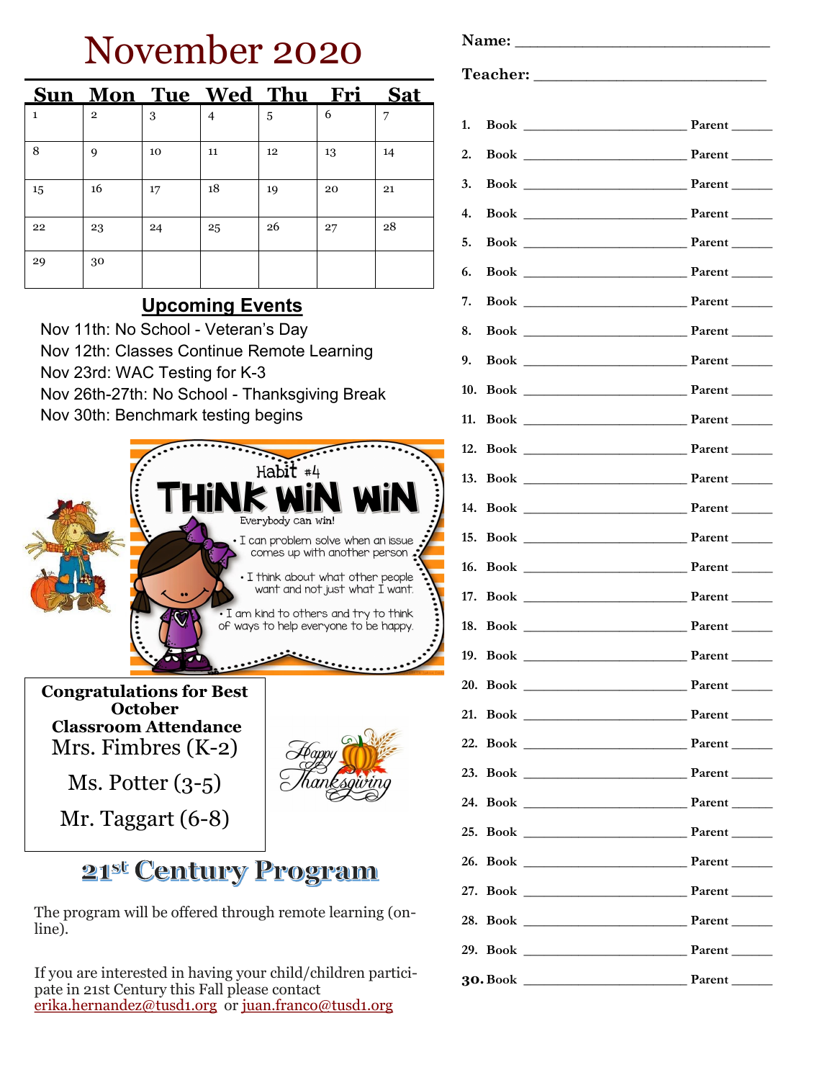# November 2020

|              |                |    | Sun Mon Tue Wed Thu Fri Sat |    |    |    |
|--------------|----------------|----|-----------------------------|----|----|----|
| $\mathbf{1}$ | $\overline{2}$ | 3  | $\overline{4}$              | 5  | 6  | 7  |
| 8            | 9              | 10 | 11                          | 12 | 13 | 14 |
| 15           | 16             | 17 | 18                          | 19 | 20 | 21 |
| 22           | 23             | 24 | 25                          | 26 | 27 | 28 |
| 29           | 30             |    |                             |    |    |    |

## **Upcoming Events**

Nov 11th: No School - Veteran's Day Nov 12th: Classes Continue Remote Learning Nov 23rd: WAC Testing for K-3 Nov 26th-27th: No School - Thanksgiving Break Nov 30th: Benchmark testing begins



**Congratulations for Best October Classroom Attendance** Mrs. Fimbres (K-2)

Ms. Potter (3-5)

Mr. Taggart (6-8)



# 21st Century Program

The program will be offered through remote learning (online).

If you are interested in having your child/children participate in 21st Century this Fall please contact [erika.hernandez@tusd1.org](mailto:erika.hernandez@tusd1.org) or [juan.franco@tusd1.org](mailto:juan.franco@tusd1.org)

Name:

### **Teacher: \_\_\_\_\_\_\_\_\_\_\_\_\_\_\_\_\_\_\_\_\_\_\_\_\_\_\_\_\_\_\_**